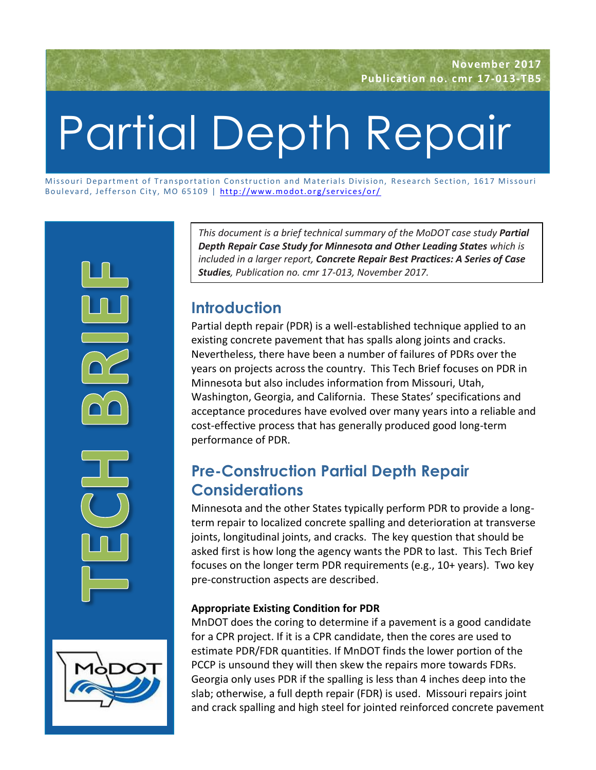# Partial Depth Repair

Missouri Department of Transportation Construction and Materials Division, Research Section, 1617 Missouri Boulevard, Jefferson City, MO 65109 | http://www.modot.org/services/or/ ssouri Department of Transportation Constr<br>ulevard, Jefferson City, MO 65109 | <u>http://</u><br>.



*This document is a brief technical summary of the MoDOT case study Partial Depth Repair Case Study for Minnesota and Other Leading States which is included in a larger report, Concrete Repair Best Practices: A Series of Case Studies, Publication no. cmr 17-013, November 2017.*

# **Introduction**

Partial depth repair (PDR) is a well-established technique applied to an existing concrete pavement that has spalls along joints and cracks. Nevertheless, there have been a number of failures of PDRs over the years on projects across the country. This Tech Brief focuses on PDR in Minnesota but also includes information from Missouri, Utah, Washington, Georgia, and California. These States' specifications and acceptance procedures have evolved over many years into a reliable and cost-effective process that has generally produced good long-term performance of PDR.

# **Pre-Construction Partial Depth Repair Considerations**

Minnesota and the other States typically perform PDR to provide a longterm repair to localized concrete spalling and deterioration at transverse joints, longitudinal joints, and cracks. The key question that should be asked first is how long the agency wants the PDR to last. This Tech Brief focuses on the longer term PDR requirements (e.g., 10+ years). Two key pre-construction aspects are described.

## **Appropriate Existing Condition for PDR**

MnDOT does the coring to determine if a pavement is a good candidate for a CPR project. If it is a CPR candidate, then the cores are used to estimate PDR/FDR quantities. If MnDOT finds the lower portion of the PCCP is unsound they will then skew the repairs more towards FDRs. Georgia only uses PDR if the spalling is less than 4 inches deep into the slab; otherwise, a full depth repair (FDR) is used. Missouri repairs joint and crack spalling and high steel for jointed reinforced concrete pavement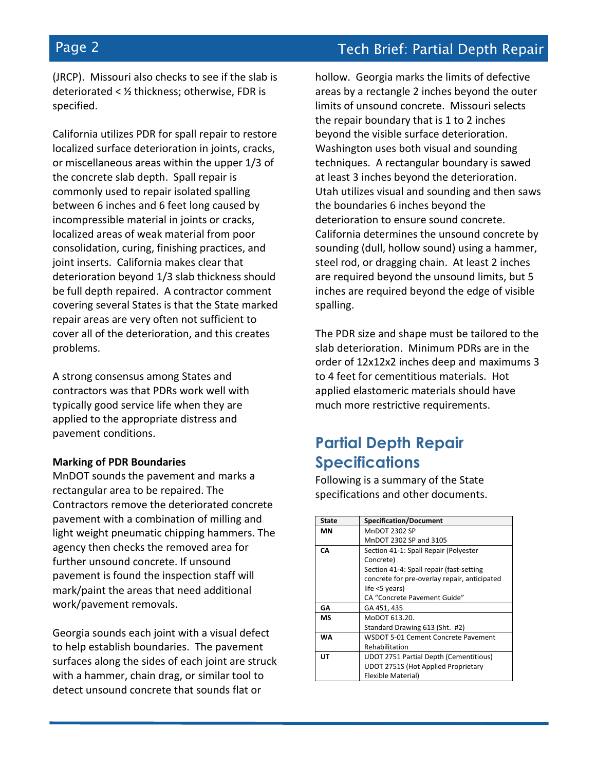(JRCP). Missouri also checks to see if the slab is deteriorated < ½ thickness; otherwise, FDR is specified.

California utilizes PDR for spall repair to restore localized surface deterioration in joints, cracks, or miscellaneous areas within the upper 1/3 of the concrete slab depth. Spall repair is commonly used to repair isolated spalling between 6 inches and 6 feet long caused by incompressible material in joints or cracks, localized areas of weak material from poor consolidation, curing, finishing practices, and joint inserts. California makes clear that deterioration beyond 1/3 slab thickness should be full depth repaired. A contractor comment covering several States is that the State marked repair areas are very often not sufficient to cover all of the deterioration, and this creates problems.

A strong consensus among States and contractors was that PDRs work well with typically good service life when they are applied to the appropriate distress and pavement conditions.

### **Marking of PDR Boundaries**

MnDOT sounds the pavement and marks a rectangular area to be repaired. The Contractors remove the deteriorated concrete pavement with a combination of milling and light weight pneumatic chipping hammers. The agency then checks the removed area for further unsound concrete. If unsound pavement is found the inspection staff will mark/paint the areas that need additional work/pavement removals.

Georgia sounds each joint with a visual defect to help establish boundaries. The pavement surfaces along the sides of each joint are struck with a hammer, chain drag, or similar tool to detect unsound concrete that sounds flat or

hollow. Georgia marks the limits of defective areas by a rectangle 2 inches beyond the outer limits of unsound concrete. Missouri selects the repair boundary that is 1 to 2 inches beyond the visible surface deterioration. Washington uses both visual and sounding techniques. A rectangular boundary is sawed at least 3 inches beyond the deterioration. Utah utilizes visual and sounding and then saws the boundaries 6 inches beyond the deterioration to ensure sound concrete. California determines the unsound concrete by sounding (dull, hollow sound) using a hammer, steel rod, or dragging chain. At least 2 inches are required beyond the unsound limits, but 5 inches are required beyond the edge of visible spalling.

The PDR size and shape must be tailored to the slab deterioration. Minimum PDRs are in the order of 12x12x2 inches deep and maximums 3 to 4 feet for cementitious materials. Hot applied elastomeric materials should have much more restrictive requirements.

## **Partial Depth Repair Specifications**

Following is a summary of the State specifications and other documents.

| State     | <b>Specification/Document</b>                 |
|-----------|-----------------------------------------------|
| ΜN        | <b>MnDOT 2302 SP</b>                          |
|           | MnDOT 2302 SP and 3105                        |
| CА        | Section 41-1: Spall Repair (Polyester         |
|           | Concrete)                                     |
|           | Section 41-4: Spall repair (fast-setting      |
|           | concrete for pre-overlay repair, anticipated  |
|           | life <5 years)                                |
|           | CA "Concrete Pavement Guide"                  |
| GΑ        | GA 451, 435                                   |
| МS        | MoDOT 613.20.                                 |
|           | Standard Drawing 613 (Sht. #2)                |
| <b>WA</b> | WSDOT 5-01 Cement Concrete Pavement           |
|           | Rehabilitation                                |
| UT        | <b>UDOT 2751 Partial Depth (Cementitious)</b> |
|           | <b>UDOT 2751S (Hot Applied Proprietary</b>    |
|           | Flexible Material)                            |

# Page 2 Tech Brief: Partial Depth Repair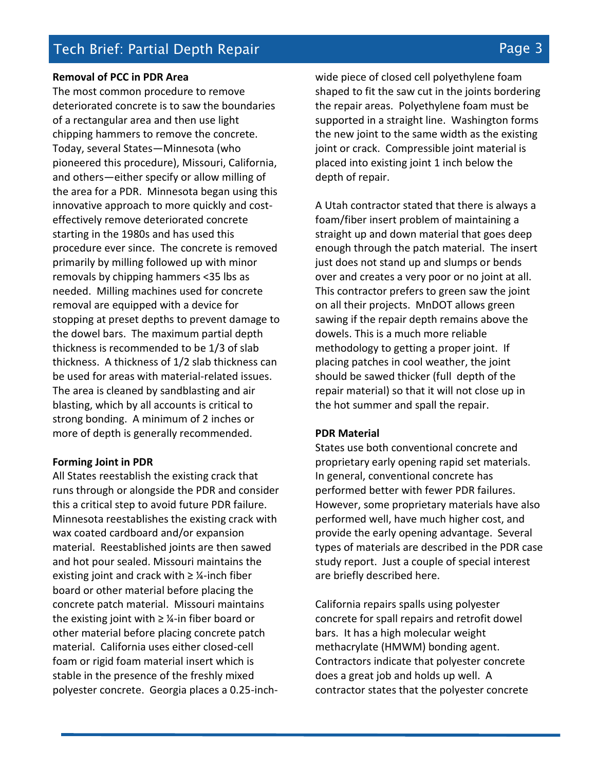Tech Brief: Partial Depth Repair Page 3

### **Removal of PCC in PDR Area**

The most common procedure to remove deteriorated concrete is to saw the boundaries of a rectangular area and then use light chipping hammers to remove the concrete. Today, several States—Minnesota (who pioneered this procedure), Missouri, California, and others—either specify or allow milling of the area for a PDR. Minnesota began using this innovative approach to more quickly and costeffectively remove deteriorated concrete starting in the 1980s and has used this procedure ever since. The concrete is removed primarily by milling followed up with minor removals by chipping hammers <35 lbs as needed. Milling machines used for concrete removal are equipped with a device for stopping at preset depths to prevent damage to the dowel bars. The maximum partial depth thickness is recommended to be 1/3 of slab thickness. A thickness of 1/2 slab thickness can be used for areas with material-related issues. The area is cleaned by sandblasting and air blasting, which by all accounts is critical to strong bonding. A minimum of 2 inches or more of depth is generally recommended.

### **Forming Joint in PDR**

All States reestablish the existing crack that runs through or alongside the PDR and consider this a critical step to avoid future PDR failure. Minnesota reestablishes the existing crack with wax coated cardboard and/or expansion material. Reestablished joints are then sawed and hot pour sealed. Missouri maintains the existing joint and crack with  $\geq$  1⁄4-inch fiber board or other material before placing the concrete patch material. Missouri maintains the existing joint with  $\geq$  ¼-in fiber board or other material before placing concrete patch material. California uses either closed-cell foam or rigid foam material insert which is stable in the presence of the freshly mixed polyester concrete. Georgia places a 0.25-inchwide piece of closed cell polyethylene foam shaped to fit the saw cut in the joints bordering the repair areas. Polyethylene foam must be supported in a straight line. Washington forms the new joint to the same width as the existing joint or crack. Compressible joint material is placed into existing joint 1 inch below the depth of repair.

A Utah contractor stated that there is always a foam/fiber insert problem of maintaining a straight up and down material that goes deep enough through the patch material. The insert just does not stand up and slumps or bends over and creates a very poor or no joint at all. This contractor prefers to green saw the joint on all their projects. MnDOT allows green sawing if the repair depth remains above the dowels. This is a much more reliable methodology to getting a proper joint. If placing patches in cool weather, the joint should be sawed thicker (full depth of the repair material) so that it will not close up in the hot summer and spall the repair.

### **PDR Material**

States use both conventional concrete and proprietary early opening rapid set materials. In general, conventional concrete has performed better with fewer PDR failures. However, some proprietary materials have also performed well, have much higher cost, and provide the early opening advantage. Several types of materials are described in the PDR case study report. Just a couple of special interest are briefly described here.

California repairs spalls using polyester concrete for spall repairs and retrofit dowel bars. It has a high molecular weight methacrylate (HMWM) bonding agent. Contractors indicate that polyester concrete does a great job and holds up well. A contractor states that the polyester concrete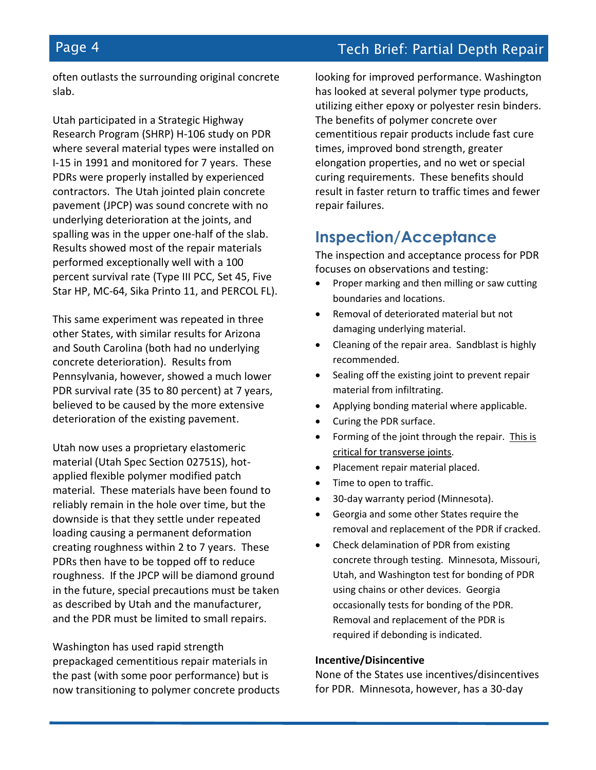## Page 4 **Tech Brief: Partial Depth Repair**

often outlasts the surrounding original concrete slab.

Utah participated in a Strategic Highway Research Program (SHRP) H-106 study on PDR where several material types were installed on I-15 in 1991 and monitored for 7 years. These PDRs were properly installed by experienced contractors. The Utah jointed plain concrete pavement (JPCP) was sound concrete with no underlying deterioration at the joints, and spalling was in the upper one-half of the slab. Results showed most of the repair materials performed exceptionally well with a 100 percent survival rate (Type III PCC, Set 45, Five Star HP, MC-64, Sika Printo 11, and PERCOL FL).

This same experiment was repeated in three other States, with similar results for Arizona and South Carolina (both had no underlying concrete deterioration). Results from Pennsylvania, however, showed a much lower PDR survival rate (35 to 80 percent) at 7 years, believed to be caused by the more extensive deterioration of the existing pavement.

Utah now uses a proprietary elastomeric material (Utah Spec Section 02751S), hotapplied flexible polymer modified patch material. These materials have been found to reliably remain in the hole over time, but the downside is that they settle under repeated loading causing a permanent deformation creating roughness within 2 to 7 years. These PDRs then have to be topped off to reduce roughness. If the JPCP will be diamond ground in the future, special precautions must be taken as described by Utah and the manufacturer, and the PDR must be limited to small repairs.

Washington has used rapid strength prepackaged cementitious repair materials in the past (with some poor performance) but is now transitioning to polymer concrete products looking for improved performance. Washington has looked at several polymer type products, utilizing either epoxy or polyester resin binders. The benefits of polymer concrete over cementitious repair products include fast cure times, improved bond strength, greater elongation properties, and no wet or special curing requirements. These benefits should result in faster return to traffic times and fewer repair failures.

## **Inspection/Acceptance**

The inspection and acceptance process for PDR focuses on observations and testing:

- Proper marking and then milling or saw cutting boundaries and locations.
- Removal of deteriorated material but not damaging underlying material.
- Cleaning of the repair area. Sandblast is highly recommended.
- Sealing off the existing joint to prevent repair material from infiltrating.
- Applying bonding material where applicable.
- Curing the PDR surface.
- Forming of the joint through the repair. This is critical for transverse joints.
- Placement repair material placed.
- Time to open to traffic.
- 30-day warranty period (Minnesota).
- Georgia and some other States require the removal and replacement of the PDR if cracked.
- Check delamination of PDR from existing concrete through testing. Minnesota, Missouri, Utah, and Washington test for bonding of PDR using chains or other devices. Georgia occasionally tests for bonding of the PDR. Removal and replacement of the PDR is required if debonding is indicated.

#### **Incentive/Disincentive**

None of the States use incentives/disincentives for PDR. Minnesota, however, has a 30-day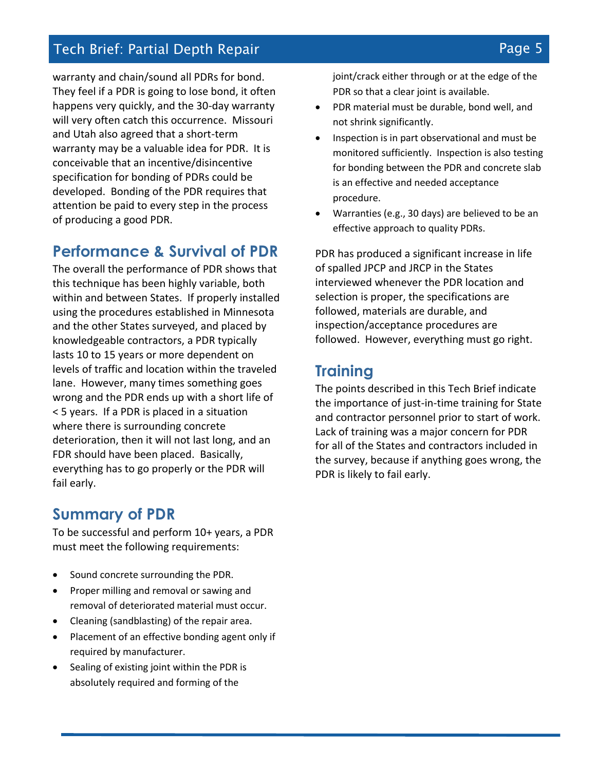## Tech Brief: Partial Depth Repair Page 5

warranty and chain/sound all PDRs for bond. They feel if a PDR is going to lose bond, it often happens very quickly, and the 30-day warranty will very often catch this occurrence. Missouri and Utah also agreed that a short-term warranty may be a valuable idea for PDR. It is conceivable that an incentive/disincentive specification for bonding of PDRs could be developed. Bonding of the PDR requires that attention be paid to every step in the process of producing a good PDR.

## **Performance & Survival of PDR**

The overall the performance of PDR shows that this technique has been highly variable, both within and between States. If properly installed using the procedures established in Minnesota and the other States surveyed, and placed by knowledgeable contractors, a PDR typically lasts 10 to 15 years or more dependent on levels of traffic and location within the traveled lane. However, many times something goes wrong and the PDR ends up with a short life of < 5 years. If a PDR is placed in a situation where there is surrounding concrete deterioration, then it will not last long, and an FDR should have been placed. Basically, everything has to go properly or the PDR will fail early.

## **Summary of PDR**

To be successful and perform 10+ years, a PDR must meet the following requirements:

- Sound concrete surrounding the PDR.
- Proper milling and removal or sawing and removal of deteriorated material must occur.
- Cleaning (sandblasting) of the repair area.
- Placement of an effective bonding agent only if required by manufacturer.
- Sealing of existing joint within the PDR is absolutely required and forming of the

joint/crack either through or at the edge of the PDR so that a clear joint is available.

- PDR material must be durable, bond well, and not shrink significantly.
- Inspection is in part observational and must be monitored sufficiently. Inspection is also testing for bonding between the PDR and concrete slab is an effective and needed acceptance procedure.
- Warranties (e.g., 30 days) are believed to be an effective approach to quality PDRs.

PDR has produced a significant increase in life of spalled JPCP and JRCP in the States interviewed whenever the PDR location and selection is proper, the specifications are followed, materials are durable, and inspection/acceptance procedures are followed. However, everything must go right.

## **Training**

The points described in this Tech Brief indicate the importance of just-in-time training for State and contractor personnel prior to start of work. Lack of training was a major concern for PDR for all of the States and contractors included in the survey, because if anything goes wrong, the PDR is likely to fail early.